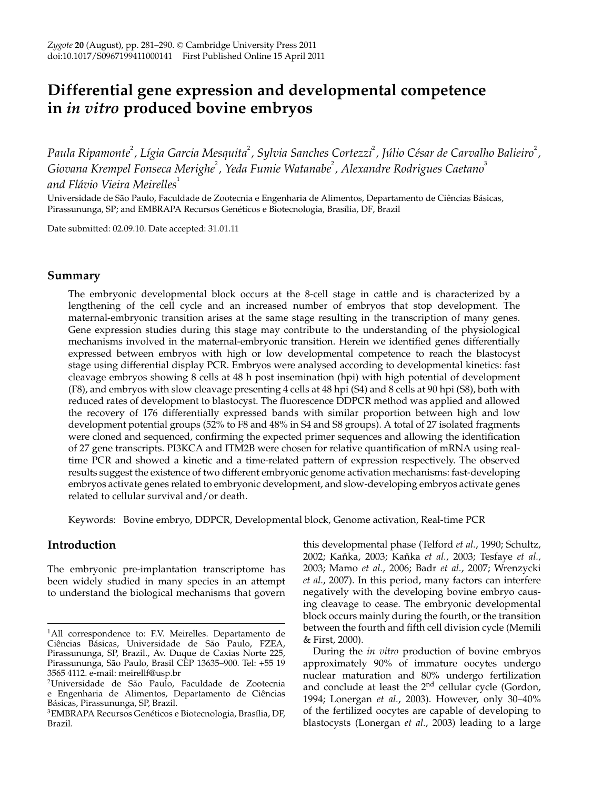# **Differential gene expression and developmental competence in** *in vitro* **produced bovine embryos**

*Paula Ripamonte*<sup>2</sup> *, Lígia Garcia Mesquita*<sup>2</sup> *, Sylvia Sanches Cortezzi*<sup>2</sup> *, Júlio César de Carvalho Balieiro*<sup>2</sup> *,* Giovana Krempel Fonseca Merighe<sup>2</sup>, Yeda Fumie Watanabe<sup>2</sup>, Alexandre Rodrigues Caetano<sup>3</sup> *and Flávio Vieira Meirelles*<sup>1</sup>

Universidade de São Paulo, Faculdade de Zootecnia e Engenharia de Alimentos, Departamento de Ciências Básicas, Pirassununga, SP; and EMBRAPA Recursos Genéticos e Biotecnologia, Brasília, DF, Brazil

Date submitted: 02.09.10. Date accepted: 31.01.11

## **Summary**

The embryonic developmental block occurs at the 8-cell stage in cattle and is characterized by a lengthening of the cell cycle and an increased number of embryos that stop development. The maternal-embryonic transition arises at the same stage resulting in the transcription of many genes. Gene expression studies during this stage may contribute to the understanding of the physiological mechanisms involved in the maternal-embryonic transition. Herein we identified genes differentially expressed between embryos with high or low developmental competence to reach the blastocyst stage using differential display PCR. Embryos were analysed according to developmental kinetics: fast cleavage embryos showing 8 cells at 48 h post insemination (hpi) with high potential of development (F8), and embryos with slow cleavage presenting 4 cells at 48 hpi (S4) and 8 cells at 90 hpi (S8), both with reduced rates of development to blastocyst. The fluorescence DDPCR method was applied and allowed the recovery of 176 differentially expressed bands with similar proportion between high and low development potential groups (52% to F8 and 48% in S4 and S8 groups). A total of 27 isolated fragments were cloned and sequenced, confirming the expected primer sequences and allowing the identification of 27 gene transcripts. PI3KCA and ITM2B were chosen for relative quantification of mRNA using realtime PCR and showed a kinetic and a time-related pattern of expression respectively. The observed results suggest the existence of two different embryonic genome activation mechanisms: fast-developing embryos activate genes related to embryonic development, and slow-developing embryos activate genes related to cellular survival and/or death.

Keywords: Bovine embryo, DDPCR, Developmental block, Genome activation, Real-time PCR

## **Introduction**

The embryonic pre-implantation transcriptome has been widely studied in many species in an attempt to understand the biological mechanisms that govern

this developmental phase (Telford *et al.*, 1990; Schultz, 2002; Kaˇnka, 2003; Kaˇnka *et al.*, 2003; Tesfaye *et al.*, 2003; Mamo *et al.*, 2006; Badr *et al.*, 2007; Wrenzycki *et al.*, 2007). In this period, many factors can interfere negatively with the developing bovine embryo causing cleavage to cease. The embryonic developmental block occurs mainly during the fourth, or the transition between the fourth and fifth cell division cycle (Memili & First, 2000).

During the *in vitro* production of bovine embryos approximately 90% of immature oocytes undergo nuclear maturation and 80% undergo fertilization and conclude at least the  $2<sup>nd</sup>$  cellular cycle (Gordon, 1994; Lonergan *et al.*, 2003). However, only 30–40% of the fertilized oocytes are capable of developing to blastocysts (Lonergan *et al.*, 2003) leading to a large

<sup>&</sup>lt;sup>1</sup>All correspondence to: F.V. Meirelles. Departamento de Ciências Básicas, Universidade de São Paulo, FZEA, Pirassununga, SP, Brazil., Av. Duque de Caxias Norte 225, Pirassununga, São Paulo, Brasil CEP 13635–900. Tel: +55 19 3565 4112. e-mail: meirellf@usp.br

<sup>2</sup>Universidade de São Paulo, Faculdade de Zootecnia e Engenharia de Alimentos, Departamento de Ciências Básicas, Pirassununga, SP, Brazil.

<sup>3</sup>EMBRAPA Recursos Genéticos e Biotecnologia, Brasília, DF, Brazil.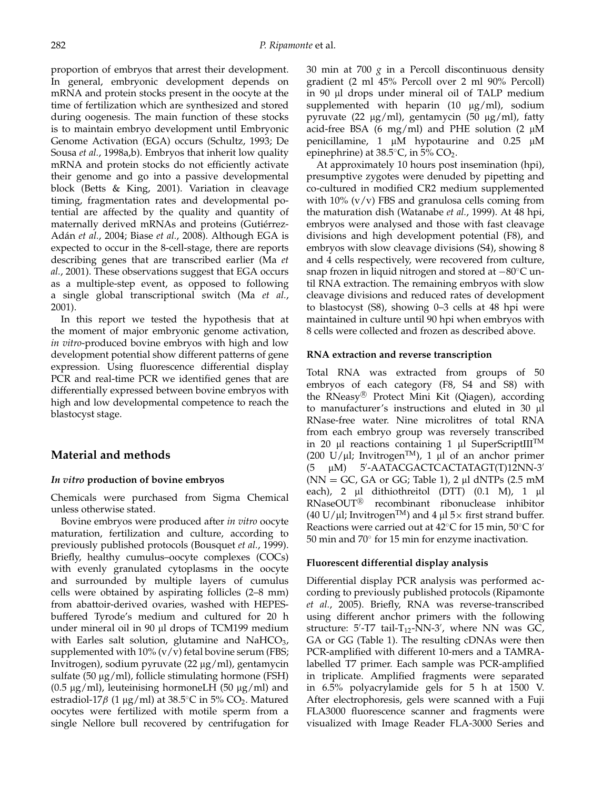proportion of embryos that arrest their development. In general, embryonic development depends on mRNA and protein stocks present in the oocyte at the time of fertilization which are synthesized and stored during oogenesis. The main function of these stocks is to maintain embryo development until Embryonic Genome Activation (EGA) occurs (Schultz, 1993; De Sousa *et al.*, 1998a,b). Embryos that inherit low quality mRNA and protein stocks do not efficiently activate their genome and go into a passive developmental block (Betts & King, 2001). Variation in cleavage timing, fragmentation rates and developmental potential are affected by the quality and quantity of maternally derived mRNAs and proteins (Gutiérrez-Adán *et al.*, 2004; Biase *et al.*, 2008). Although EGA is expected to occur in the 8-cell-stage, there are reports describing genes that are transcribed earlier (Ma *et al.*, 2001). These observations suggest that EGA occurs as a multiple-step event, as opposed to following a single global transcriptional switch (Ma *et al.*, 2001).

In this report we tested the hypothesis that at the moment of major embryonic genome activation, *in vitro*-produced bovine embryos with high and low development potential show different patterns of gene expression. Using fluorescence differential display PCR and real-time PCR we identified genes that are differentially expressed between bovine embryos with high and low developmental competence to reach the blastocyst stage.

# **Material and methods**

## *In vitro* **production of bovine embryos**

Chemicals were purchased from Sigma Chemical unless otherwise stated.

Bovine embryos were produced after *in vitro* oocyte maturation, fertilization and culture, according to previously published protocols (Bousquet *et al.*, 1999). Briefly, healthy cumulus–oocyte complexes (COCs) with evenly granulated cytoplasms in the oocyte and surrounded by multiple layers of cumulus cells were obtained by aspirating follicles (2–8 mm) from abattoir-derived ovaries, washed with HEPESbuffered Tyrode's medium and cultured for 20 h under mineral oil in 90 μl drops of TCM199 medium with Earles salt solution, glutamine and NaHCO<sub>3</sub>, supplemented with  $10\%$  (v/v) fetal bovine serum (FBS; Invitrogen), sodium pyruvate (22 μg/ml), gentamycin sulfate (50  $\mu$ g/ml), follicle stimulating hormone (FSH) (0.5 μg/ml), leuteinising hormoneLH (50 μg/ml) and estradiol-17β (1 μg/ml) at 38.5°C in 5% CO<sub>2</sub>. Matured oocytes were fertilized with motile sperm from a single Nellore bull recovered by centrifugation for 30 min at 700 *g* in a Percoll discontinuous density gradient (2 ml 45% Percoll over 2 ml 90% Percoll) in 90 μl drops under mineral oil of TALP medium supplemented with heparin (10 μg/ml), sodium pyruvate (22 μg/ml), gentamycin (50 μg/ml), fatty acid-free BSA (6 mg/ml) and PHE solution (2  $\mu$ M penicillamine, 1 μM hypotaurine and 0.25 μM epinephrine) at  $38.5^{\circ}$ C, in  $5\%$  CO<sub>2</sub>.

At approximately 10 hours post insemination (hpi), presumptive zygotes were denuded by pipetting and co-cultured in modified CR2 medium supplemented with  $10\%$  (v/v) FBS and granulosa cells coming from the maturation dish (Watanabe *et al.*, 1999). At 48 hpi, embryos were analysed and those with fast cleavage divisions and high development potential (F8), and embryos with slow cleavage divisions (S4), showing 8 and 4 cells respectively, were recovered from culture, snap frozen in liquid nitrogen and stored at −80◦C until RNA extraction. The remaining embryos with slow cleavage divisions and reduced rates of development to blastocyst (S8), showing 0–3 cells at 48 hpi were maintained in culture until 90 hpi when embryos with 8 cells were collected and frozen as described above.

## **RNA extraction and reverse transcription**

Total RNA was extracted from groups of 50 embryos of each category (F8, S4 and S8) with the RNeasy<sup>®</sup> Protect Mini Kit (Qiagen), according to manufacturer's instructions and eluted in 30 μl RNase-free water. Nine microlitres of total RNA from each embryo group was reversely transcribed in 20 μl reactions containing 1 μl SuperScriptIII<sup>TM</sup> (200 U/μl; Invitrogen<sup>TM</sup>), 1 μl of an anchor primer  $(5 \quad \mu M)$ -AATACGACTCACTATAGT(T)12NN-3 ( $NN = GC$ ,  $GA$  or  $GG$ ; Table 1), 2  $\mu$ l dNTPs (2.5 mM each), 2 μl dithiothreitol (DTT) (0.1 M), 1 μl RNaseOUT<sup>®</sup> recombinant ribonuclease inhibitor (40 U/µl; Invitrogen<sup>TM</sup>) and 4 µl  $5\times$  first strand buffer. Reactions were carried out at 42◦C for 15 min, 50◦C for 50 min and 70◦ for 15 min for enzyme inactivation.

## **Fluorescent differential display analysis**

Differential display PCR analysis was performed according to previously published protocols (Ripamonte *et al.*, 2005). Briefly, RNA was reverse-transcribed using different anchor primers with the following structure:  $5'$ -T7 tail-T<sub>12</sub>-NN-3', where NN was GC, GA or GG (Table 1). The resulting cDNAs were then PCR-amplified with different 10-mers and a TAMRAlabelled T7 primer. Each sample was PCR-amplified in triplicate. Amplified fragments were separated in 6.5% polyacrylamide gels for 5 h at 1500 V. After electrophoresis, gels were scanned with a Fuji FLA3000 fluorescence scanner and fragments were visualized with Image Reader FLA-3000 Series and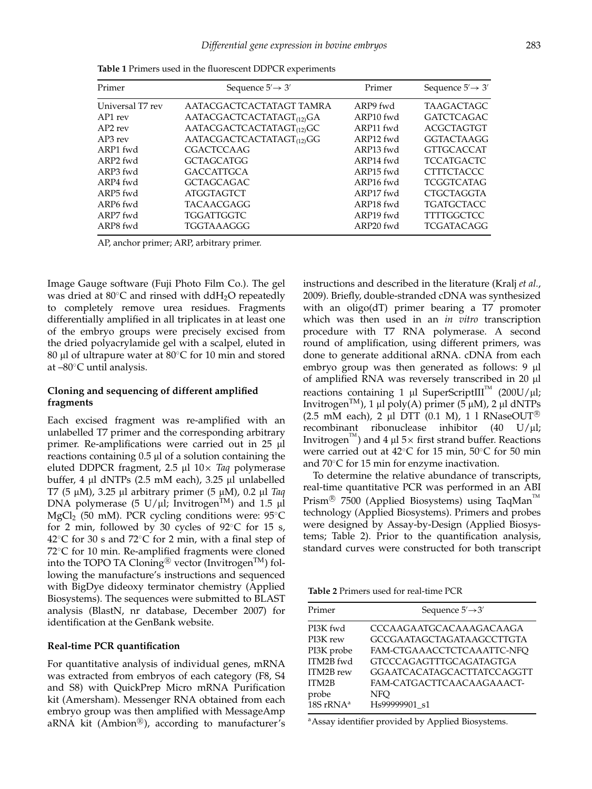| Primer               | Sequence $5' \rightarrow 3'$          | Primer    | Sequence $5' \rightarrow 3'$ |  |
|----------------------|---------------------------------------|-----------|------------------------------|--|
| Universal T7 rev     | AATACGACTCACTATAGT TAMRA              | ARP9 fwd  | <b>TAAGACTAGC</b>            |  |
| AP1 rev              | AATACGACTCACTATAGT(12)GA              | ARP10 fwd | <b>GATCTCAGAC</b>            |  |
| $AP2$ rev            | AATACGACTCACTATAGT <sub>(12)</sub> GC | ARP11 fwd | <b>ACGCTAGTGT</b>            |  |
| AP3 rev              | AATACGACTCACTATAGT <sub>(12)</sub> GG | ARP12 fwd | <b>GGTACTAAGG</b>            |  |
| ARP1 fwd             | <b>CGACTCCAAG</b>                     | ARP13 fwd | <b>GTTGCACCAT</b>            |  |
| ARP <sub>2</sub> fwd | <b>GCTAGCATGG</b>                     | ARP14 fwd | <b>TCCATGACTC</b>            |  |
| ARP3 fwd             | <b>GACCATTGCA</b>                     | ARP15 fwd | <b>CTTTCTACCC</b>            |  |
| ARP4 fwd             | <b>GCTAGCAGAC</b>                     | ARP16 fwd | <b>TCGGTCATAG</b>            |  |
| ARP <sub>5</sub> fwd | <b>ATGGTAGTCT</b>                     | ARP17 fwd | <b>CTGCTAGGTA</b>            |  |
| ARP6 fwd             | <b>TACAACGAGG</b>                     | ARP18 fwd | <b>TGATGCTACC</b>            |  |
| ARP7 fwd             | TGGATTGGTC                            | ARP19 fwd | <b>TTTTGGCTCC</b>            |  |
| ARP8 fwd             | TGGTAAAGGG                            | ARP20 fwd | <b>TCGATACAGG</b>            |  |

**Table 1** Primers used in the fluorescent DDPCR experiments

AP, anchor primer; ARP, arbitrary primer.

Image Gauge software (Fuji Photo Film Co.). The gel was dried at 80℃ and rinsed with ddH<sub>2</sub>O repeatedly to completely remove urea residues. Fragments differentially amplified in all triplicates in at least one of the embryo groups were precisely excised from the dried polyacrylamide gel with a scalpel, eluted in 80 μl of ultrapure water at 80◦C for 10 min and stored at –80◦C until analysis.

## **Cloning and sequencing of different amplified fragments**

Each excised fragment was re-amplified with an unlabelled T7 primer and the corresponding arbitrary primer. Re-amplifications were carried out in 25 μl reactions containing 0.5 μl of a solution containing the eluted DDPCR fragment, 2.5 μl 10× *Taq* polymerase buffer, 4 μl dNTPs (2.5 mM each), 3.25 μl unlabelled T7 (5 μM), 3.25 μl arbitrary primer (5 μM), 0.2 μl *Taq* DNA polymerase (5 U/μl; Invitrogen<sup>TM</sup>) and 1.5 μl MgCl<sub>2</sub> (50 mM). PCR cycling conditions were:  $95^{\circ}$ C for 2 min, followed by 30 cycles of  $92^{\circ}$ C for 15 s, 42◦C for 30 s and 72◦C for 2 min, with a final step of 72<sup>°</sup>C for 10 min. Re-amplified fragments were cloned into the TOPO TA Cloning $^{\circledR}$  vector (Invitrogen $^{\text{TM}}$ ) following the manufacture's instructions and sequenced with BigDye dideoxy terminator chemistry (Applied Biosystems). The sequences were submitted to BLAST analysis (BlastN, nr database, December 2007) for identification at the GenBank website.

#### **Real-time PCR quantification**

For quantitative analysis of individual genes, mRNA was extracted from embryos of each category (F8, S4 and S8) with QuickPrep Micro mRNA Purification kit (Amersham). Messenger RNA obtained from each embryo group was then amplified with MessageAmp aRNA kit (Ambion $^{\text{\tiny{\textregistered}}}$ ), according to manufacturer's

instructions and described in the literature (Kralj *et al.*, 2009). Briefly, double-stranded cDNA was synthesized with an oligo(dT) primer bearing a T7 promoter which was then used in an *in vitro* transcription procedure with T7 RNA polymerase. A second round of amplification, using different primers, was done to generate additional aRNA. cDNA from each embryo group was then generated as follows: 9 μl of amplified RNA was reversely transcribed in 20 μl reactions containing 1 μl SuperScriptIII<sup>™</sup> (200U/μl; Invitrogen<sup>TM</sup>), 1 μl poly(A) primer (5 μM), 2 μl dNTPs (2.5 mM each), 2 μl DTT (0.1 M), 1 l RNaseOUT<sup>®</sup> recombinant ribonuclease inhibitor (40 U/μl; Invitrogen<sup>184</sup>) and 4  $\mu$ l 5 $\times$  first strand buffer. Reactions were carried out at 42◦C for 15 min, 50◦C for 50 min and 70◦C for 15 min for enzyme inactivation.

To determine the relative abundance of transcripts, real-time quantitative PCR was performed in an ABI  $\mathrm{Prism}^{\circledR}$  7500 (Applied Biosystems) using TaqMan $\mathrm{Im}$ technology (Applied Biosystems). Primers and probes were designed by Assay-by-Design (Applied Biosystems; Table 2). Prior to the quantification analysis, standard curves were constructed for both transcript

**Table 2** Primers used for real-time PCR

| Primer                                                                         | Sequence $5' \rightarrow 3'$                                                                                                                                                                         |  |
|--------------------------------------------------------------------------------|------------------------------------------------------------------------------------------------------------------------------------------------------------------------------------------------------|--|
| PI3K fwd<br>PI3K rew<br>PI3K probe<br>ITM2B fwd<br>ITM2B rew<br>ITM2B<br>probe | CCCAAGAATGCACAAAGACAAGA<br><b>GCCGAATAGCTAGATAAGCCTTGTA</b><br>FAM-CTGAAACCTCTCAAATTC-NFQ<br><b>GTCCCAGAGTTTGCAGATAGTGA</b><br><b>GGAATCACATAGCACTTATCCAGGTT</b><br>FAM-CATGACTTCAACAAGAAACT-<br>NFO |  |
| 18S r $RNA^a$                                                                  | Hs99999901_s1                                                                                                                                                                                        |  |

aAssay identifier provided by Applied Biosystems.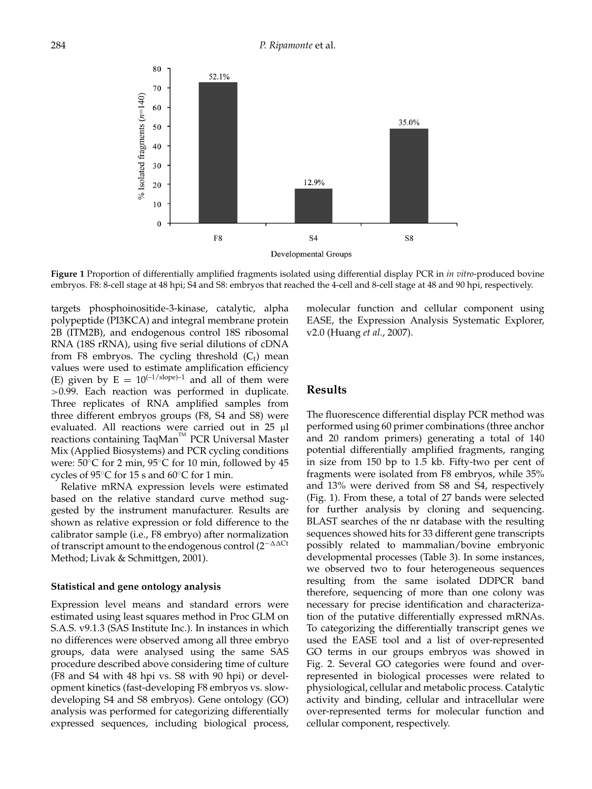

**Figure 1** Proportion of differentially amplified fragments isolated using differential display PCR in *in vitro*-produced bovine embryos. F8: 8-cell stage at 48 hpi; S4 and S8: embryos that reached the 4-cell and 8-cell stage at 48 and 90 hpi, respectively.

targets phosphoinositide-3-kinase, catalytic, alpha polypeptide (PI3KCA) and integral membrane protein 2B (ITM2B), and endogenous control 18S ribosomal RNA (18S rRNA), using five serial dilutions of cDNA from F8 embryos. The cycling threshold  $(C_t)$  mean values were used to estimate amplification efficiency (E) given by  $E = 10^{(-1/\text{slope})-1}$  and all of them were >0.99. Each reaction was performed in duplicate. Three replicates of RNA amplified samples from three different embryos groups (F8, S4 and S8) were evaluated. All reactions were carried out in 25 μl reactions containing TaqMan™ PCR Universal Master Mix (Applied Biosystems) and PCR cycling conditions were: 50◦C for 2 min, 95◦C for 10 min, followed by 45 cycles of 95◦C for 15 s and 60◦C for 1 min.

Relative mRNA expression levels were estimated based on the relative standard curve method suggested by the instrument manufacturer. Results are shown as relative expression or fold difference to the calibrator sample (i.e., F8 embryo) after normalization of transcript amount to the endogenous control (2<sup>-∆∆Ct</sup> Method; Livak & Schmittgen, 2001).

#### **Statistical and gene ontology analysis**

Expression level means and standard errors were estimated using least squares method in Proc GLM on S.A.S. v9.1.3 (SAS Institute Inc.). In instances in which no differences were observed among all three embryo groups, data were analysed using the same SAS procedure described above considering time of culture (F8 and S4 with 48 hpi vs. S8 with 90 hpi) or development kinetics (fast-developing F8 embryos vs. slowdeveloping S4 and S8 embryos). Gene ontology (GO) analysis was performed for categorizing differentially expressed sequences, including biological process, molecular function and cellular component using EASE, the Expression Analysis Systematic Explorer, v2.0 (Huang *et al.*, 2007).

## **Results**

The fluorescence differential display PCR method was performed using 60 primer combinations (three anchor and 20 random primers) generating a total of 140 potential differentially amplified fragments, ranging in size from 150 bp to 1.5 kb. Fifty-two per cent of fragments were isolated from F8 embryos, while 35% and 13% were derived from S8 and S4, respectively (Fig. 1). From these, a total of 27 bands were selected for further analysis by cloning and sequencing. BLAST searches of the nr database with the resulting sequences showed hits for 33 different gene transcripts possibly related to mammalian/bovine embryonic developmental processes (Table 3). In some instances, we observed two to four heterogeneous sequences resulting from the same isolated DDPCR band therefore, sequencing of more than one colony was necessary for precise identification and characterization of the putative differentially expressed mRNAs. To categorizing the differentially transcript genes we used the EASE tool and a list of over-represented GO terms in our groups embryos was showed in Fig. 2. Several GO categories were found and overrepresented in biological processes were related to physiological, cellular and metabolic process. Catalytic activity and binding, cellular and intracellular were over-represented terms for molecular function and cellular component, respectively.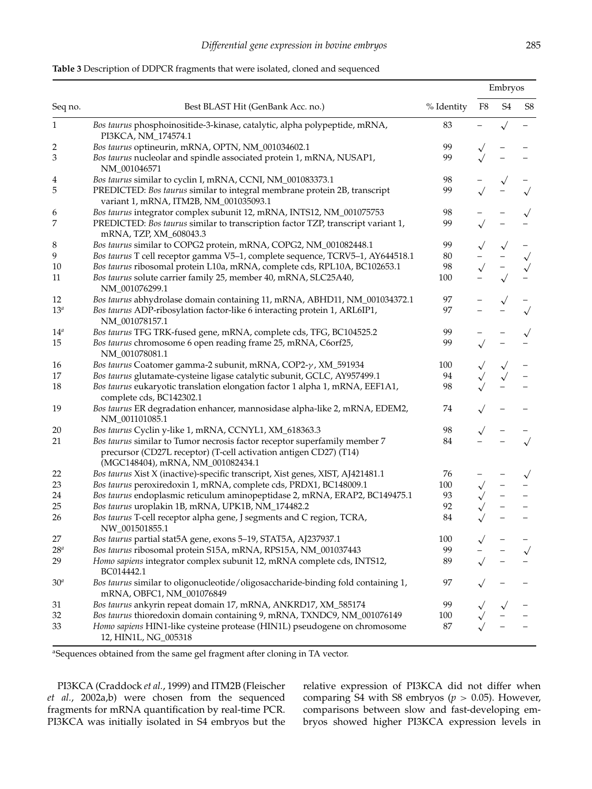|                         |                                                                                                                                                                                     |            | Embryos    |                |                |
|-------------------------|-------------------------------------------------------------------------------------------------------------------------------------------------------------------------------------|------------|------------|----------------|----------------|
| Seq no.                 | Best BLAST Hit (GenBank Acc. no.)                                                                                                                                                   | % Identity | ${\rm F}8$ | S <sub>4</sub> | S <sub>8</sub> |
| $\mathbf{1}$            | Bos taurus phosphoinositide-3-kinase, catalytic, alpha polypeptide, mRNA,<br>PI3KCA, NM_174574.1                                                                                    | 83         |            |                |                |
| $\overline{\mathbf{c}}$ | Bos taurus optineurin, mRNA, OPTN, NM_001034602.1                                                                                                                                   | 99         |            |                |                |
| 3                       | Bos taurus nucleolar and spindle associated protein 1, mRNA, NUSAP1,<br>NM_001046571                                                                                                | 99         |            |                |                |
| 4                       | Bos taurus similar to cyclin I, mRNA, CCNI, NM_001083373.1                                                                                                                          | 98         |            |                |                |
| 5                       | PREDICTED: Bos taurus similar to integral membrane protein 2B, transcript<br>variant 1, mRNA, ITM2B, NM_001035093.1                                                                 | 99         |            |                |                |
| 6                       | Bos taurus integrator complex subunit 12, mRNA, INTS12, NM_001075753                                                                                                                | 98         |            |                |                |
| 7                       | PREDICTED: Bos taurus similar to transcription factor TZP, transcript variant 1,<br>mRNA, TZP, XM_608043.3                                                                          | 99         |            |                |                |
| 8                       | Bos taurus similar to COPG2 protein, mRNA, COPG2, NM_001082448.1                                                                                                                    | 99         |            |                |                |
| 9                       | Bos taurus T cell receptor gamma V5-1, complete sequence, TCRV5-1, AY644518.1                                                                                                       | $80\,$     |            |                | $\sqrt{}$      |
| $10\,$                  | Bos taurus ribosomal protein L10a, mRNA, complete cds, RPL10A, BC102653.1                                                                                                           | 98         |            |                |                |
| 11                      | Bos taurus solute carrier family 25, member 40, mRNA, SLC25A40,<br>NM_001076299.1                                                                                                   | 100        |            |                |                |
| 12                      | Bos taurus abhydrolase domain containing 11, mRNA, ABHD11, NM_001034372.1                                                                                                           | 97         |            |                |                |
| 13 <sup>a</sup>         | Bos taurus ADP-ribosylation factor-like 6 interacting protein 1, ARL6IP1,<br>NM_001078157.1                                                                                         | 97         |            |                |                |
| 14 <sup>a</sup>         | Bos taurus TFG TRK-fused gene, mRNA, complete cds, TFG, BC104525.2                                                                                                                  | 99         |            |                |                |
| 15                      | Bos taurus chromosome 6 open reading frame 25, mRNA, C6orf25,<br>NM_001078081.1                                                                                                     | 99         |            |                |                |
| 16                      | Bos taurus Coatomer gamma-2 subunit, mRNA, COP2-y, XM_591934                                                                                                                        | 100        |            |                |                |
| 17                      | Bos taurus glutamate-cysteine ligase catalytic subunit, GCLC, AY957499.1                                                                                                            | 94         |            |                |                |
| 18                      | Bos taurus eukaryotic translation elongation factor 1 alpha 1, mRNA, EEF1A1,<br>complete cds, BC142302.1                                                                            | 98         |            |                |                |
| 19                      | Bos taurus ER degradation enhancer, mannosidase alpha-like 2, mRNA, EDEM2,<br>NM_001101085.1                                                                                        | 74         |            |                |                |
| 20                      | Bos taurus Cyclin y-like 1, mRNA, CCNYL1, XM_618363.3                                                                                                                               | 98         |            |                |                |
| 21                      | Bos taurus similar to Tumor necrosis factor receptor superfamily member 7<br>precursor (CD27L receptor) (T-cell activation antigen CD27) (T14)<br>(MGC148404), mRNA, NM_001082434.1 | 84         |            |                |                |
| 22                      | Bos taurus Xist X (inactive)-specific transcript, Xist genes, XIST, AJ421481.1                                                                                                      | 76         |            |                | $\sqrt{}$      |
| 23                      | Bos taurus peroxiredoxin 1, mRNA, complete cds, PRDX1, BC148009.1                                                                                                                   | 100        |            |                |                |
| 24                      | Bos taurus endoplasmic reticulum aminopeptidase 2, mRNA, ERAP2, BC149475.1                                                                                                          | 93         |            |                |                |
| 25                      | Bos taurus uroplakin 1B, mRNA, UPK1B, NM_174482.2                                                                                                                                   | 92         |            |                |                |
| 26                      | Bos taurus T-cell receptor alpha gene, J segments and C region, TCRA,<br>NW_001501855.1                                                                                             | 84         |            |                |                |
| 27                      | Bos taurus partial stat5A gene, exons 5-19, STAT5A, AJ237937.1                                                                                                                      | 100        |            |                |                |
| $28^{\circ}$            | Bos taurus ribosomal protein S15A, mRNA, RPS15A, NM_001037443                                                                                                                       | 99         |            |                |                |
| 29                      | Homo sapiens integrator complex subunit 12, mRNA complete cds, INTS12,<br>BC014442.1                                                                                                | 89         |            |                |                |
| 30 <sup>a</sup>         | Bos taurus similar to oligonucleotide/oligosaccharide-binding fold containing 1,<br>mRNA, OBFC1, NM_001076849                                                                       | 97         |            |                |                |
| 31                      | Bos taurus ankyrin repeat domain 17, mRNA, ANKRD17, XM_585174                                                                                                                       | 99         |            |                |                |
| 32                      | Bos taurus thioredoxin domain containing 9, mRNA, TXNDC9, NM_001076149                                                                                                              | 100        |            |                |                |
| 33                      | Homo sapiens HIN1-like cysteine protease (HIN1L) pseudogene on chromosome<br>12, HIN1L, NG_005318                                                                                   | 87         |            |                |                |

#### **Table 3** Description of DDPCR fragments that were isolated, cloned and sequenced

<sup>a</sup>Sequences obtained from the same gel fragment after cloning in TA vector.

PI3KCA (Craddock *et al.*, 1999) and ITM2B (Fleischer *et al.*, 2002a,b) were chosen from the sequenced fragments for mRNA quantification by real-time PCR. PI3KCA was initially isolated in S4 embryos but the relative expression of PI3KCA did not differ when comparing S4 with S8 embryos ( $p > 0.05$ ). However, comparisons between slow and fast-developing embryos showed higher PI3KCA expression levels in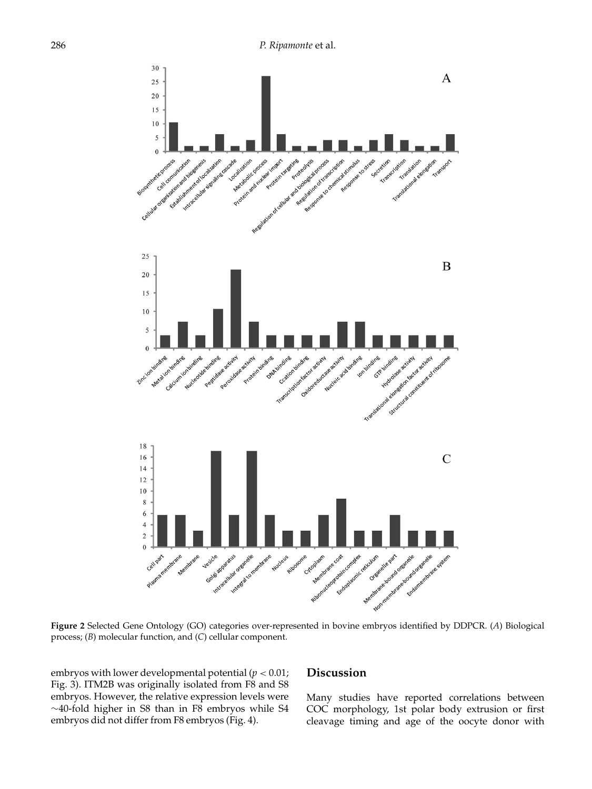

**Figure 2** Selected Gene Ontology (GO) categories over-represented in bovine embryos identified by DDPCR. (*A*) Biological process; (*B*) molecular function, and (*C*) cellular component.

embryos with lower developmental potential  $(p < 0.01)$ ; Fig. 3). ITM2B was originally isolated from F8 and S8 embryos. However, the relative expression levels were ∼40-fold higher in S8 than in F8 embryos while S4 embryos did not differ from F8 embryos (Fig. 4).

## **Discussion**

Many studies have reported correlations between COC morphology, 1st polar body extrusion or first cleavage timing and age of the oocyte donor with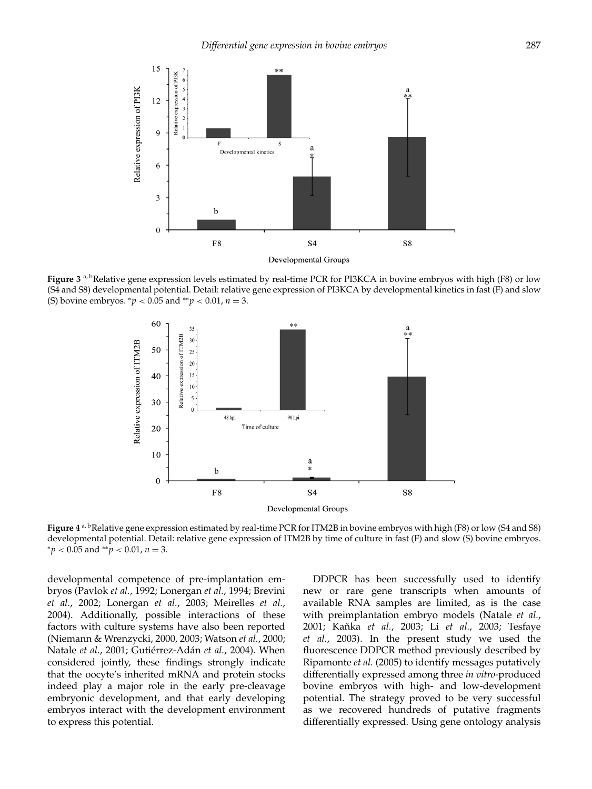

**Figure 3**<sup>a, b</sup>Relative gene expression levels estimated by real-time PCR for PI3KCA in bovine embryos with high (F8) or low (S4 and S8) developmental potential. Detail: relative gene expression of PI3KCA by developmental kinetics in fast (F) and slow (S) bovine embryos. <sup>∗</sup>*p* < 0.05 and ∗∗*p* < 0.01, *n* = 3.



**Figure 4** a, bRelative gene expression estimated by real-time PCR for ITM2B in bovine embryos with high (F8) or low (S4 and S8) developmental potential. Detail: relative gene expression of ITM2B by time of culture in fast (F) and slow (S) bovine embryos. <sup>∗</sup>*p* < 0.05 and ∗∗*p* < 0.01, *n* = 3.

developmental competence of pre-implantation embryos (Pavlok *et al.*, 1992; Lonergan *et al.*, 1994; Brevini *et al.*, 2002; Lonergan *et al.*, 2003; Meirelles *et al.*, 2004). Additionally, possible interactions of these factors with culture systems have also been reported (Niemann & Wrenzycki, 2000, 2003; Watson *et al.*, 2000; Natale *et al.*, 2001; Gutiérrez-Adán *et al.*, 2004). When considered jointly, these findings strongly indicate that the oocyte's inherited mRNA and protein stocks indeed play a major role in the early pre-cleavage embryonic development, and that early developing embryos interact with the development environment to express this potential.

DDPCR has been successfully used to identify new or rare gene transcripts when amounts of available RNA samples are limited, as is the case with preimplantation embryo models (Natale *et al.*, 2001; Kaˇnka *et al.*, 2003; Li *et al.*, 2003; Tesfaye *et al.*, 2003). In the present study we used the fluorescence DDPCR method previously described by Ripamonte *et al.* (2005) to identify messages putatively differentially expressed among three *in vitro*-produced bovine embryos with high- and low-development potential. The strategy proved to be very successful as we recovered hundreds of putative fragments differentially expressed. Using gene ontology analysis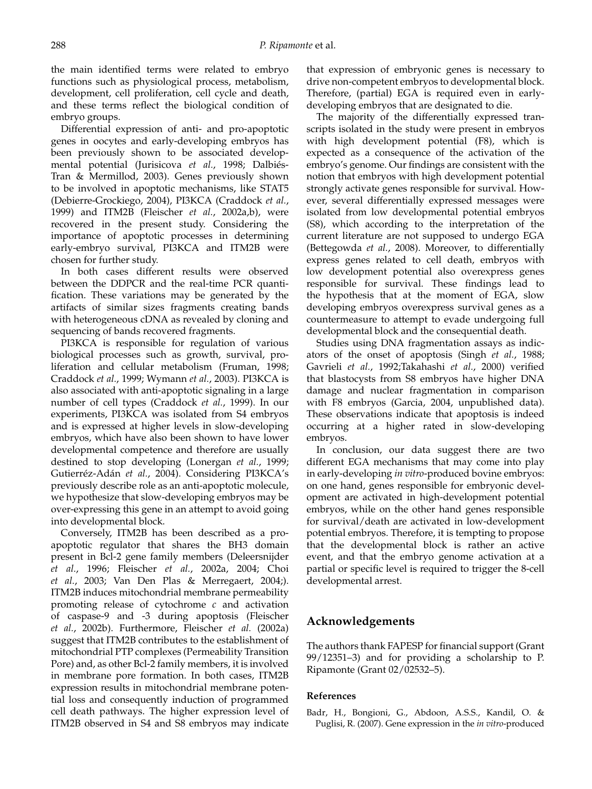the main identified terms were related to embryo functions such as physiological process, metabolism, development, cell proliferation, cell cycle and death, and these terms reflect the biological condition of embryo groups.

Differential expression of anti- and pro-apoptotic genes in oocytes and early-developing embryos has been previously shown to be associated developmental potential (Jurisicova *et al.*, 1998; Dalbiés-Tran & Mermillod, 2003). Genes previously shown to be involved in apoptotic mechanisms, like STAT5 (Debierre-Grockiego, 2004), PI3KCA (Craddock *et al.*, 1999) and ITM2B (Fleischer *et al.*, 2002a,b), were recovered in the present study. Considering the importance of apoptotic processes in determining early-embryo survival, PI3KCA and ITM2B were chosen for further study.

In both cases different results were observed between the DDPCR and the real-time PCR quantification. These variations may be generated by the artifacts of similar sizes fragments creating bands with heterogeneous cDNA as revealed by cloning and sequencing of bands recovered fragments.

PI3KCA is responsible for regulation of various biological processes such as growth, survival, proliferation and cellular metabolism (Fruman, 1998; Craddock *et al.*, 1999; Wymann *et al.*, 2003). PI3KCA is also associated with anti-apoptotic signaling in a large number of cell types (Craddock *et al.*, 1999). In our experiments, PI3KCA was isolated from S4 embryos and is expressed at higher levels in slow-developing embryos, which have also been shown to have lower developmental competence and therefore are usually destined to stop developing (Lonergan *et al.*, 1999; Gutierréz-Adán *et al.*, 2004). Considering PI3KCA's previously describe role as an anti-apoptotic molecule, we hypothesize that slow-developing embryos may be over-expressing this gene in an attempt to avoid going into developmental block.

Conversely, ITM2B has been described as a proapoptotic regulator that shares the BH3 domain present in Bcl-2 gene family members (Deleersnijder *et al.*, 1996; Fleischer *et al.*, 2002a, 2004; Choi *et al.*, 2003; Van Den Plas & Merregaert, 2004;). ITM2B induces mitochondrial membrane permeability promoting release of cytochrome *c* and activation of caspase-9 and -3 during apoptosis (Fleischer *et al.*, 2002b). Furthermore, Fleischer *et al.* (2002a) suggest that ITM2B contributes to the establishment of mitochondrial PTP complexes (Permeability Transition Pore) and, as other Bcl-2 family members, it is involved in membrane pore formation. In both cases, ITM2B expression results in mitochondrial membrane potential loss and consequently induction of programmed cell death pathways. The higher expression level of ITM2B observed in S4 and S8 embryos may indicate that expression of embryonic genes is necessary to drive non-competent embryos to developmental block. Therefore, (partial) EGA is required even in earlydeveloping embryos that are designated to die.

The majority of the differentially expressed transcripts isolated in the study were present in embryos with high development potential (F8), which is expected as a consequence of the activation of the embryo's genome. Our findings are consistent with the notion that embryos with high development potential strongly activate genes responsible for survival. However, several differentially expressed messages were isolated from low developmental potential embryos (S8), which according to the interpretation of the current literature are not supposed to undergo EGA (Bettegowda *et al.*, 2008). Moreover, to differentially express genes related to cell death, embryos with low development potential also overexpress genes responsible for survival. These findings lead to the hypothesis that at the moment of EGA, slow developing embryos overexpress survival genes as a countermeasure to attempt to evade undergoing full developmental block and the consequential death.

Studies using DNA fragmentation assays as indicators of the onset of apoptosis (Singh *et al.*, 1988; Gavrieli *et al.*, 1992;Takahashi *et al.*, 2000) verified that blastocysts from S8 embryos have higher DNA damage and nuclear fragmentation in comparison with F8 embryos (Garcia, 2004, unpublished data). These observations indicate that apoptosis is indeed occurring at a higher rated in slow-developing embryos.

In conclusion, our data suggest there are two different EGA mechanisms that may come into play in early-developing *in vitro*-produced bovine embryos: on one hand, genes responsible for embryonic development are activated in high-development potential embryos, while on the other hand genes responsible for survival/death are activated in low-development potential embryos. Therefore, it is tempting to propose that the developmental block is rather an active event, and that the embryo genome activation at a partial or specific level is required to trigger the 8-cell developmental arrest.

# **Acknowledgements**

The authors thank FAPESP for financial support (Grant 99/12351–3) and for providing a scholarship to P. Ripamonte (Grant 02/02532–5).

## **References**

Badr, H., Bongioni, G., Abdoon, A.S.S., Kandil, O. & Puglisi, R. (2007). Gene expression in the *in vitro*-produced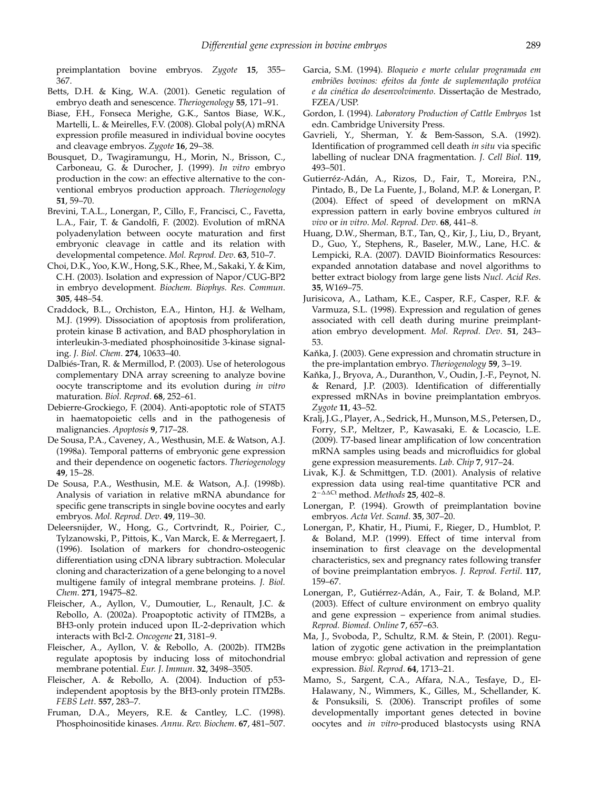preimplantation bovine embryos. *Zygote* **15**, 355– 367.

- Betts, D.H. & King, W.A. (2001). Genetic regulation of embryo death and senescence. *Theriogenology* **55**, 171–91.
- Biase, F.H., Fonseca Merighe, G.K., Santos Biase, W.K., Martelli, L. & Meirelles, F.V. (2008). Global poly(A) mRNA expression profile measured in individual bovine oocytes and cleavage embryos. *Zygote* **16**, 29–38.
- Bousquet, D., Twagiramungu, H., Morin, N., Brisson, C., Carboneau, G. & Durocher, J. (1999). *In vitro* embryo production in the cow: an effective alternative to the conventional embryos production approach. *Theriogenology* **51**, 59–70.
- Brevini, T.A.L., Lonergan, P., Cillo, F., Francisci, C., Favetta, L.A., Fair, T. & Gandolfi, F. (2002). Evolution of mRNA polyadenylation between oocyte maturation and first embryonic cleavage in cattle and its relation with developmental competence. *Mol. Reprod. Dev*. **63**, 510–7.
- Choi, D.K., Yoo, K.W., Hong, S.K., Rhee, M., Sakaki, Y. & Kim, C.H. (2003). Isolation and expression of Napor/CUG-BP2 in embryo development. *Biochem. Biophys. Res. Commun*. **305**, 448–54.
- Craddock, B.L., Orchiston, E.A., Hinton, H.J. & Welham, M.J. (1999). Dissociation of apoptosis from proliferation, protein kinase B activation, and BAD phosphorylation in interleukin-3-mediated phosphoinositide 3-kinase signaling. *J. Biol. Chem*. **274**, 10633–40.
- Dalbiés-Tran, R. & Mermillod, P. (2003). Use of heterologous complementary DNA array screening to analyze bovine oocyte transcriptome and its evolution during *in vitro* maturation. *Biol. Reprod*. **68**, 252–61.
- Debierre-Grockiego, F. (2004). Anti-apoptotic role of STAT5 in haematopoietic cells and in the pathogenesis of malignancies. *Apoptosis* **9**, 717–28.
- De Sousa, P.A., Caveney, A., Westhusin, M.E. & Watson, A.J. (1998a). Temporal patterns of embryonic gene expression and their dependence on oogenetic factors. *Theriogenology* **49**, 15–28.
- De Sousa, P.A., Westhusin, M.E. & Watson, A.J. (1998b). Analysis of variation in relative mRNA abundance for specific gene transcripts in single bovine oocytes and early embryos. *Mol. Reprod. Dev*. **49**, 119–30.
- Deleersnijder, W., Hong, G., Cortvrindt, R., Poirier, C., Tylzanowski, P., Pittois, K., Van Marck, E. & Merregaert, J. (1996). Isolation of markers for chondro-osteogenic differentiation using cDNA library subtraction. Molecular cloning and characterization of a gene belonging to a novel multigene family of integral membrane proteins. *J. Biol. Chem*. **271**, 19475–82.
- Fleischer, A., Ayllon, V., Dumoutier, L., Renault, J.C. & Rebollo, A. (2002a). Proapoptotic activity of ITM2Bs, a BH3-only protein induced upon IL-2-deprivation which interacts with Bcl-2. *Oncogene* **21**, 3181–9.
- Fleischer, A., Ayllon, V. & Rebollo, A. (2002b). ITM2Bs regulate apoptosis by inducing loss of mitochondrial membrane potential. *Eur. J. Immun*. **32**, 3498–3505.
- Fleischer, A. & Rebollo, A. (2004). Induction of p53 independent apoptosis by the BH3-only protein ITM2Bs. *FEBS Lett*. **557**, 283–7.
- Fruman, D.A., Meyers, R.E. & Cantley, L.C. (1998). Phosphoinositide kinases. *Annu. Rev. Biochem*. **67**, 481–507.
- Garcia, S.M. (1994). *Bloqueio e morte celular programada em embriões bovinos: efeitos da fonte de suplementação protéica e da cinética do desenvolvimento*. Dissertação de Mestrado, FZEA/USP.
- Gordon, I. (1994). *Laboratory Production of Cattle Embryos* 1st edn. Cambridge University Press.
- Gavrieli, Y., Sherman, Y. & Bem-Sasson, S.A. (1992). Identification of programmed cell death *in situ* via specific labelling of nuclear DNA fragmentation. *J. Cell Biol*. **119**, 493–501.
- Gutierréz-Adán, A., Rizos, D., Fair, T., Moreira, P.N., Pintado, B., De La Fuente, J., Boland, M.P. & Lonergan, P. (2004). Effect of speed of development on mRNA expression pattern in early bovine embryos cultured *in vivo* or *in vitro*. *Mol. Reprod. Dev*. **68**, 441–8.
- Huang, D.W., Sherman, B.T., Tan, Q., Kir, J., Liu, D., Bryant, D., Guo, Y., Stephens, R., Baseler, M.W., Lane, H.C. & Lempicki, R.A. (2007). DAVID Bioinformatics Resources: expanded annotation database and novel algorithms to better extract biology from large gene lists *Nucl. Acid Res*. **35**, W169–75.
- Jurisicova, A., Latham, K.E., Casper, R.F., Casper, R.F. & Varmuza, S.L. (1998). Expression and regulation of genes associated with cell death during murine preimplantation embryo development. *Mol. Reprod. Dev*. **51**, 243– 53.
- Kaňka, J. (2003). Gene expression and chromatin structure in the pre-implantation embryo. *Theriogenology* **59**, 3–19.
- Kaňka, J., Bryova, A., Duranthon, V., Oudin, J.-F., Peynot, N. & Renard, J.P. (2003). Identification of differentially expressed mRNAs in bovine preimplantation embryos. *Zygote* **11**, 43–52.
- Kralj, J.G., Player, A., Sedrick, H., Munson, M.S., Petersen, D., Forry, S.P., Meltzer, P., Kawasaki, E. & Locascio, L.E. (2009). T7-based linear amplification of low concentration mRNA samples using beads and microfluidics for global gene expression measurements. *Lab. Chip* **7**, 917–24.
- Livak, K.J. & Schmittgen, T.D. (2001). Analysis of relative expression data using real-time quantitative PCR and 2<sup>-∆∆Ct</sup> method. *Methods* **25**, 402–8.
- Lonergan, P. (1994). Growth of preimplantation bovine embryos. *Acta Vet. Scand*. **35**, 307–20.
- Lonergan, P., Khatir, H., Piumi, F., Rieger, D., Humblot, P. & Boland, M.P. (1999). Effect of time interval from insemination to first cleavage on the developmental characteristics, sex and pregnancy rates following transfer of bovine preimplantation embryos. *J. Reprod. Fertil*. **117**, 159–67.
- Lonergan, P., Gutiérrez-Adán, A., Fair, T. & Boland, M.P. (2003). Effect of culture environment on embryo quality and gene expression – experience from animal studies. *Reprod. Biomed. Online* **7**, 657–63.
- Ma, J., Svoboda, P., Schultz, R.M. & Stein, P. (2001). Regulation of zygotic gene activation in the preimplantation mouse embryo: global activation and repression of gene expression. *Biol. Reprod*. **64**, 1713–21.
- Mamo, S., Sargent, C.A., Affara, N.A., Tesfaye, D., El-Halawany, N., Wimmers, K., Gilles, M., Schellander, K. & Ponsuksili, S. (2006). Transcript profiles of some developmentally important genes detected in bovine oocytes and *in vitro*-produced blastocysts using RNA